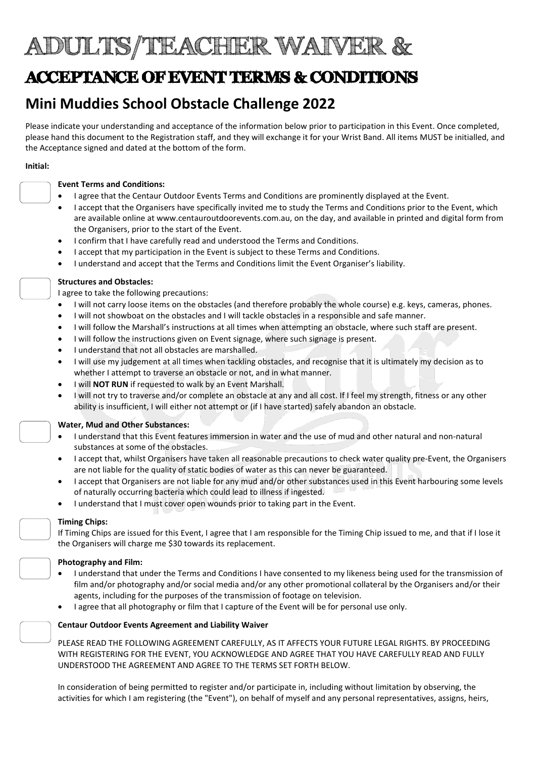# ADULTS/TEACHER WAIVER &

## ACCEPTANCE OF EVENT TERMS & CONDITIONS

### Mini Muddies School Obstacle Challenge 2022

Please indicate your understanding and acceptance of the information below prior to participation in this Event. Once completed, please hand this document to the Registration staff, and they will exchange it for your Wrist Band. All items MUST be initialled, and the Acceptance signed and dated at the bottom of the form.

#### Initial:

#### Event Terms and Conditions:

- I agree that the Centaur Outdoor Events Terms and Conditions are prominently displayed at the Event.
- I accept that the Organisers have specifically invited me to study the Terms and Conditions prior to the Event, which are available online at www.centauroutdoorevents.com.au, on the day, and available in printed and digital form from the Organisers, prior to the start of the Event.
- I confirm that I have carefully read and understood the Terms and Conditions.
- I accept that my participation in the Event is subject to these Terms and Conditions.
- I understand and accept that the Terms and Conditions limit the Event Organiser's liability.

#### Structures and Obstacles:

I agree to take the following precautions:

- I will not carry loose items on the obstacles (and therefore probably the whole course) e.g. keys, cameras, phones.
- I will not showboat on the obstacles and I will tackle obstacles in a responsible and safe manner.
- I will follow the Marshall's instructions at all times when attempting an obstacle, where such staff are present.
- I will follow the instructions given on Event signage, where such signage is present.
- I understand that not all obstacles are marshalled.
- I will use my judgement at all times when tackling obstacles, and recognise that it is ultimately my decision as to whether I attempt to traverse an obstacle or not, and in what manner.
- I will NOT RUN if requested to walk by an Event Marshall.
- I will not try to traverse and/or complete an obstacle at any and all cost. If I feel my strength, fitness or any other ability is insufficient, I will either not attempt or (if I have started) safely abandon an obstacle.

### Water, Mud and Other Substances:

- I understand that this Event features immersion in water and the use of mud and other natural and non-natural substances at some of the obstacles.
- I accept that, whilst Organisers have taken all reasonable precautions to check water quality pre-Event, the Organisers are not liable for the quality of static bodies of water as this can never be guaranteed.
- I accept that Organisers are not liable for any mud and/or other substances used in this Event harbouring some levels of naturally occurring bacteria which could lead to illness if ingested.
- I understand that I must cover open wounds prior to taking part in the Event.

#### Timing Chips:

If Timing Chips are issued for this Event, I agree that I am responsible for the Timing Chip issued to me, and that if I lose it the Organisers will charge me \$30 towards its replacement.

### Photography and Film:

- I understand that under the Terms and Conditions I have consented to my likeness being used for the transmission of film and/or photography and/or social media and/or any other promotional collateral by the Organisers and/or their agents, including for the purposes of the transmission of footage on television.
- I agree that all photography or film that I capture of the Event will be for personal use only.

#### Centaur Outdoor Events Agreement and Liability Waiver

PLEASE READ THE FOLLOWING AGREEMENT CAREFULLY, AS IT AFFECTS YOUR FUTURE LEGAL RIGHTS. BY PROCEEDING WITH REGISTERING FOR THE EVENT, YOU ACKNOWLEDGE AND AGREE THAT YOU HAVE CAREFULLY READ AND FULLY UNDERSTOOD THE AGREEMENT AND AGREE TO THE TERMS SET FORTH BELOW.

In consideration of being permitted to register and/or participate in, including without limitation by observing, the activities for which I am registering (the "Event"), on behalf of myself and any personal representatives, assigns, heirs,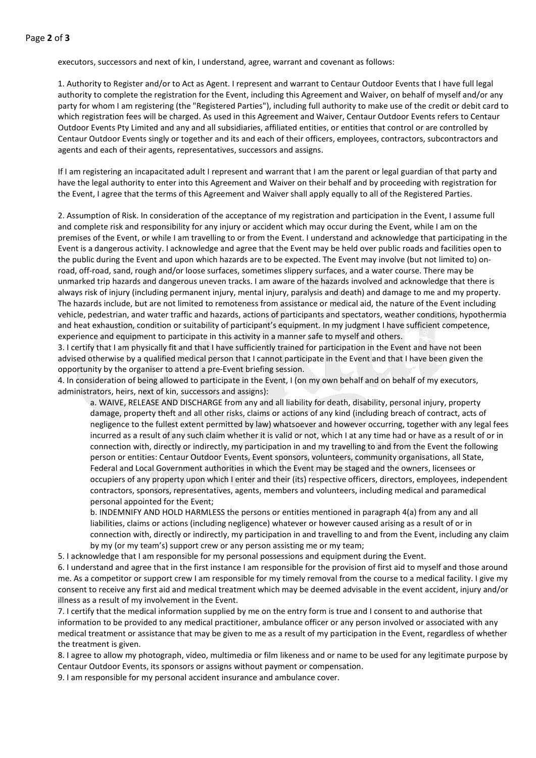executors, successors and next of kin, I understand, agree, warrant and covenant as follows:

1. Authority to Register and/or to Act as Agent. I represent and warrant to Centaur Outdoor Events that I have full legal authority to complete the registration for the Event, including this Agreement and Waiver, on behalf of myself and/or any party for whom I am registering (the "Registered Parties"), including full authority to make use of the credit or debit card to which registration fees will be charged. As used in this Agreement and Waiver, Centaur Outdoor Events refers to Centaur Outdoor Events Pty Limited and any and all subsidiaries, affiliated entities, or entities that control or are controlled by Centaur Outdoor Events singly or together and its and each of their officers, employees, contractors, subcontractors and agents and each of their agents, representatives, successors and assigns.

If I am registering an incapacitated adult I represent and warrant that I am the parent or legal guardian of that party and have the legal authority to enter into this Agreement and Waiver on their behalf and by proceeding with registration for the Event, I agree that the terms of this Agreement and Waiver shall apply equally to all of the Registered Parties.

2. Assumption of Risk. In consideration of the acceptance of my registration and participation in the Event, I assume full and complete risk and responsibility for any injury or accident which may occur during the Event, while I am on the premises of the Event, or while I am travelling to or from the Event. I understand and acknowledge that participating in the Event is a dangerous activity. I acknowledge and agree that the Event may be held over public roads and facilities open to the public during the Event and upon which hazards are to be expected. The Event may involve (but not limited to) onroad, off-road, sand, rough and/or loose surfaces, sometimes slippery surfaces, and a water course. There may be unmarked trip hazards and dangerous uneven tracks. I am aware of the hazards involved and acknowledge that there is always risk of injury (including permanent injury, mental injury, paralysis and death) and damage to me and my property. The hazards include, but are not limited to remoteness from assistance or medical aid, the nature of the Event including vehicle, pedestrian, and water traffic and hazards, actions of participants and spectators, weather conditions, hypothermia and heat exhaustion, condition or suitability of participant's equipment. In my judgment I have sufficient competence, experience and equipment to participate in this activity in a manner safe to myself and others.

3. I certify that I am physically fit and that I have sufficiently trained for participation in the Event and have not been advised otherwise by a qualified medical person that I cannot participate in the Event and that I have been given the opportunity by the organiser to attend a pre-Event briefing session.

4. In consideration of being allowed to participate in the Event, I (on my own behalf and on behalf of my executors, administrators, heirs, next of kin, successors and assigns):

a. WAIVE, RELEASE AND DISCHARGE from any and all liability for death, disability, personal injury, property damage, property theft and all other risks, claims or actions of any kind (including breach of contract, acts of negligence to the fullest extent permitted by law) whatsoever and however occurring, together with any legal fees incurred as a result of any such claim whether it is valid or not, which I at any time had or have as a result of or in connection with, directly or indirectly, my participation in and my travelling to and from the Event the following person or entities: Centaur Outdoor Events, Event sponsors, volunteers, community organisations, all State, Federal and Local Government authorities in which the Event may be staged and the owners, licensees or occupiers of any property upon which I enter and their (its) respective officers, directors, employees, independent contractors, sponsors, representatives, agents, members and volunteers, including medical and paramedical personal appointed for the Event;

b. INDEMNIFY AND HOLD HARMLESS the persons or entities mentioned in paragraph 4(a) from any and all liabilities, claims or actions (including negligence) whatever or however caused arising as a result of or in connection with, directly or indirectly, my participation in and travelling to and from the Event, including any claim by my (or my team's) support crew or any person assisting me or my team;

5. I acknowledge that I am responsible for my personal possessions and equipment during the Event.

6. I understand and agree that in the first instance I am responsible for the provision of first aid to myself and those around me. As a competitor or support crew I am responsible for my timely removal from the course to a medical facility. I give my consent to receive any first aid and medical treatment which may be deemed advisable in the event accident, injury and/or illness as a result of my involvement in the Event.

7. I certify that the medical information supplied by me on the entry form is true and I consent to and authorise that information to be provided to any medical practitioner, ambulance officer or any person involved or associated with any medical treatment or assistance that may be given to me as a result of my participation in the Event, regardless of whether the treatment is given.

8. I agree to allow my photograph, video, multimedia or film likeness and or name to be used for any legitimate purpose by Centaur Outdoor Events, its sponsors or assigns without payment or compensation.

9. I am responsible for my personal accident insurance and ambulance cover.